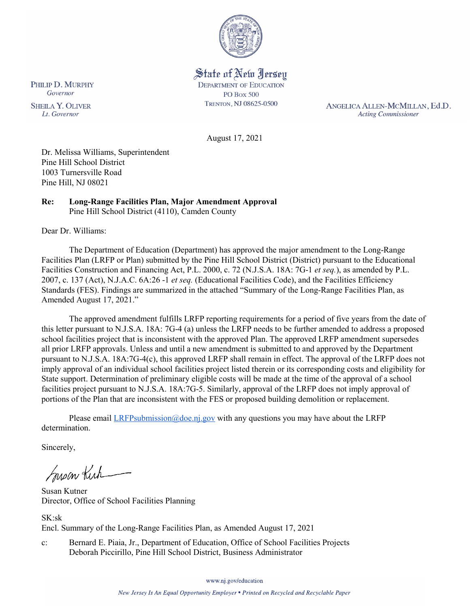

State of New Jersey **DEPARTMENT OF EDUCATION PO Box 500** TRENTON, NJ 08625-0500

ANGELICA ALLEN-MCMILLAN, Ed.D. **Acting Commissioner** 

August 17, 2021

Dr. Melissa Williams, Superintendent Pine Hill School District 1003 Turnersville Road Pine Hill, NJ 08021

#### **Re: Long-Range Facilities Plan, Major Amendment Approval**  Pine Hill School District (4110), Camden County

Dear Dr. Williams:

The Department of Education (Department) has approved the major amendment to the Long-Range Facilities Plan (LRFP or Plan) submitted by the Pine Hill School District (District) pursuant to the Educational Facilities Construction and Financing Act, P.L. 2000, c. 72 (N.J.S.A. 18A: 7G-1 *et seq.*), as amended by P.L. 2007, c. 137 (Act), N.J.A.C. 6A:26 -1 *et seq.* (Educational Facilities Code), and the Facilities Efficiency Standards (FES). Findings are summarized in the attached "Summary of the Long-Range Facilities Plan, as Amended August 17, 2021."

The approved amendment fulfills LRFP reporting requirements for a period of five years from the date of this letter pursuant to N.J.S.A. 18A: 7G-4 (a) unless the LRFP needs to be further amended to address a proposed school facilities project that is inconsistent with the approved Plan. The approved LRFP amendment supersedes all prior LRFP approvals. Unless and until a new amendment is submitted to and approved by the Department pursuant to N.J.S.A. 18A:7G-4(c), this approved LRFP shall remain in effect. The approval of the LRFP does not imply approval of an individual school facilities project listed therein or its corresponding costs and eligibility for State support. Determination of preliminary eligible costs will be made at the time of the approval of a school facilities project pursuant to N.J.S.A. 18A:7G-5. Similarly, approval of the LRFP does not imply approval of portions of the Plan that are inconsistent with the FES or proposed building demolition or replacement.

Please email *LRFPsubmission@doe.nj.gov* with any questions you may have about the LRFP determination.

Sincerely,

Susan Kich

Susan Kutner Director, Office of School Facilities Planning

SK:sk Encl. Summary of the Long-Range Facilities Plan, as Amended August 17, 2021

c: Bernard E. Piaia, Jr., Department of Education, Office of School Facilities Projects Deborah Piccirillo, Pine Hill School District, Business Administrator

PHILIP D. MURPHY Governor

**SHEILA Y. OLIVER** Lt. Governor

www.nj.gov/education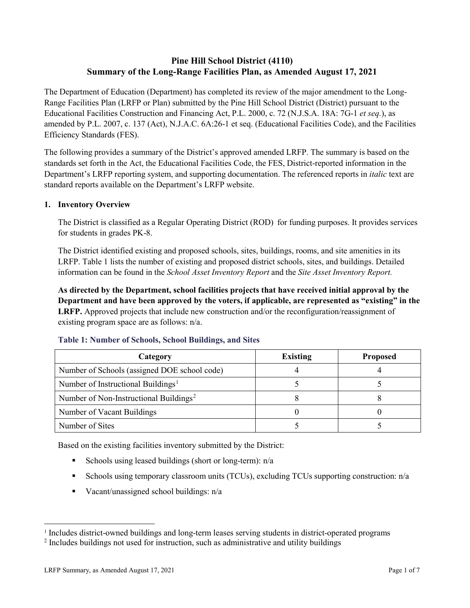# **Pine Hill School District (4110) Summary of the Long-Range Facilities Plan, as Amended August 17, 2021**

The Department of Education (Department) has completed its review of the major amendment to the Long-Range Facilities Plan (LRFP or Plan) submitted by the Pine Hill School District (District) pursuant to the Educational Facilities Construction and Financing Act, P.L. 2000, c. 72 (N.J.S.A. 18A: 7G-1 *et seq.*), as amended by P.L. 2007, c. 137 (Act), N.J.A.C. 6A:26-1 et seq. (Educational Facilities Code), and the Facilities Efficiency Standards (FES).

The following provides a summary of the District's approved amended LRFP. The summary is based on the standards set forth in the Act, the Educational Facilities Code, the FES, District-reported information in the Department's LRFP reporting system, and supporting documentation. The referenced reports in *italic* text are standard reports available on the Department's LRFP website.

## **1. Inventory Overview**

The District is classified as a Regular Operating District (ROD) for funding purposes. It provides services for students in grades PK-8.

The District identified existing and proposed schools, sites, buildings, rooms, and site amenities in its LRFP. Table 1 lists the number of existing and proposed district schools, sites, and buildings. Detailed information can be found in the *School Asset Inventory Report* and the *Site Asset Inventory Report.*

**As directed by the Department, school facilities projects that have received initial approval by the Department and have been approved by the voters, if applicable, are represented as "existing" in the LRFP.** Approved projects that include new construction and/or the reconfiguration/reassignment of existing program space are as follows: n/a.

| Category                                           | <b>Existing</b> | <b>Proposed</b> |
|----------------------------------------------------|-----------------|-----------------|
| Number of Schools (assigned DOE school code)       |                 |                 |
| Number of Instructional Buildings <sup>1</sup>     |                 |                 |
| Number of Non-Instructional Buildings <sup>2</sup> |                 |                 |
| Number of Vacant Buildings                         |                 |                 |
| Number of Sites                                    |                 |                 |

## **Table 1: Number of Schools, School Buildings, and Sites**

Based on the existing facilities inventory submitted by the District:

- Schools using leased buildings (short or long-term):  $n/a$
- Schools using temporary classroom units (TCUs), excluding TCUs supporting construction: n/a
- Vacant/unassigned school buildings:  $n/a$

<span id="page-1-0"></span><sup>&</sup>lt;sup>1</sup> Includes district-owned buildings and long-term leases serving students in district-operated programs

<span id="page-1-1"></span><sup>2</sup> Includes buildings not used for instruction, such as administrative and utility buildings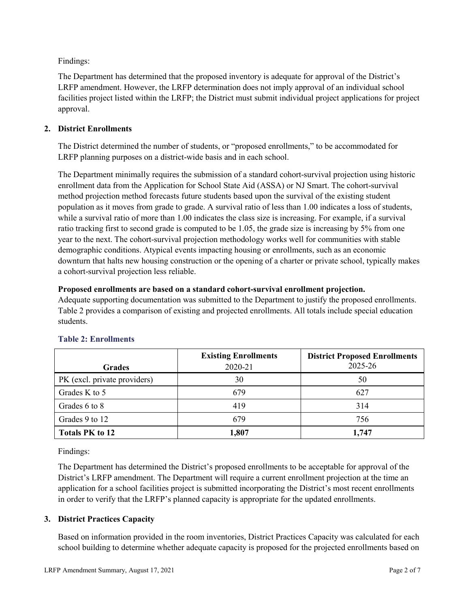Findings:

The Department has determined that the proposed inventory is adequate for approval of the District's LRFP amendment. However, the LRFP determination does not imply approval of an individual school facilities project listed within the LRFP; the District must submit individual project applications for project approval.

## **2. District Enrollments**

The District determined the number of students, or "proposed enrollments," to be accommodated for LRFP planning purposes on a district-wide basis and in each school.

The Department minimally requires the submission of a standard cohort-survival projection using historic enrollment data from the Application for School State Aid (ASSA) or NJ Smart. The cohort-survival method projection method forecasts future students based upon the survival of the existing student population as it moves from grade to grade. A survival ratio of less than 1.00 indicates a loss of students, while a survival ratio of more than 1.00 indicates the class size is increasing. For example, if a survival ratio tracking first to second grade is computed to be 1.05, the grade size is increasing by 5% from one year to the next. The cohort-survival projection methodology works well for communities with stable demographic conditions. Atypical events impacting housing or enrollments, such as an economic downturn that halts new housing construction or the opening of a charter or private school, typically makes a cohort-survival projection less reliable.

#### **Proposed enrollments are based on a standard cohort-survival enrollment projection.**

Adequate supporting documentation was submitted to the Department to justify the proposed enrollments. Table 2 provides a comparison of existing and projected enrollments. All totals include special education students.

|                              | <b>Existing Enrollments</b> | <b>District Proposed Enrollments</b> |
|------------------------------|-----------------------------|--------------------------------------|
| <b>Grades</b>                | 2020-21                     | 2025-26                              |
| PK (excl. private providers) | 30                          | 50                                   |
| Grades K to 5                | 679                         | 627                                  |
| Grades 6 to 8                | 419                         | 314                                  |
| Grades 9 to 12               | 679                         | 756                                  |
| <b>Totals PK to 12</b>       | 1,807                       | 1,747                                |

## **Table 2: Enrollments**

Findings:

The Department has determined the District's proposed enrollments to be acceptable for approval of the District's LRFP amendment. The Department will require a current enrollment projection at the time an application for a school facilities project is submitted incorporating the District's most recent enrollments in order to verify that the LRFP's planned capacity is appropriate for the updated enrollments.

## **3. District Practices Capacity**

Based on information provided in the room inventories, District Practices Capacity was calculated for each school building to determine whether adequate capacity is proposed for the projected enrollments based on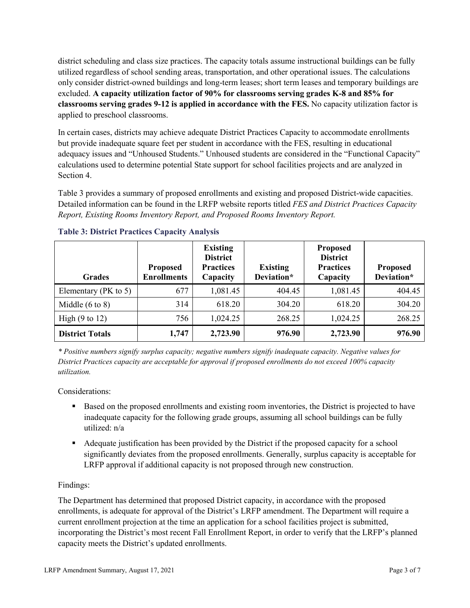district scheduling and class size practices. The capacity totals assume instructional buildings can be fully utilized regardless of school sending areas, transportation, and other operational issues. The calculations only consider district-owned buildings and long-term leases; short term leases and temporary buildings are excluded. **A capacity utilization factor of 90% for classrooms serving grades K-8 and 85% for classrooms serving grades 9-12 is applied in accordance with the FES.** No capacity utilization factor is applied to preschool classrooms.

In certain cases, districts may achieve adequate District Practices Capacity to accommodate enrollments but provide inadequate square feet per student in accordance with the FES, resulting in educational adequacy issues and "Unhoused Students." Unhoused students are considered in the "Functional Capacity" calculations used to determine potential State support for school facilities projects and are analyzed in Section 4.

Table 3 provides a summary of proposed enrollments and existing and proposed District-wide capacities. Detailed information can be found in the LRFP website reports titled *FES and District Practices Capacity Report, Existing Rooms Inventory Report, and Proposed Rooms Inventory Report.*

| <b>Grades</b>              | <b>Proposed</b><br><b>Enrollments</b> | <b>Existing</b><br><b>District</b><br><b>Practices</b><br>Capacity | <b>Existing</b><br>Deviation* | <b>Proposed</b><br><b>District</b><br><b>Practices</b><br>Capacity | <b>Proposed</b><br>Deviation* |
|----------------------------|---------------------------------------|--------------------------------------------------------------------|-------------------------------|--------------------------------------------------------------------|-------------------------------|
| Elementary ( $PK$ to 5)    | 677                                   | 1,081.45                                                           | 404.45                        | 1,081.45                                                           | 404.45                        |
| Middle $(6 \text{ to } 8)$ | 314                                   | 618.20                                                             | 304.20                        | 618.20                                                             | 304.20                        |
| High $(9 \text{ to } 12)$  | 756                                   | 1,024.25                                                           | 268.25                        | 1,024.25                                                           | 268.25                        |
| <b>District Totals</b>     | 1,747                                 | 2,723.90                                                           | 976.90                        | 2,723.90                                                           | 976.90                        |

## **Table 3: District Practices Capacity Analysis**

*\* Positive numbers signify surplus capacity; negative numbers signify inadequate capacity. Negative values for District Practices capacity are acceptable for approval if proposed enrollments do not exceed 100% capacity utilization.*

Considerations:

- Based on the proposed enrollments and existing room inventories, the District is projected to have inadequate capacity for the following grade groups, assuming all school buildings can be fully utilized: n/a
- Adequate justification has been provided by the District if the proposed capacity for a school significantly deviates from the proposed enrollments. Generally, surplus capacity is acceptable for LRFP approval if additional capacity is not proposed through new construction.

## Findings:

The Department has determined that proposed District capacity, in accordance with the proposed enrollments, is adequate for approval of the District's LRFP amendment. The Department will require a current enrollment projection at the time an application for a school facilities project is submitted, incorporating the District's most recent Fall Enrollment Report, in order to verify that the LRFP's planned capacity meets the District's updated enrollments.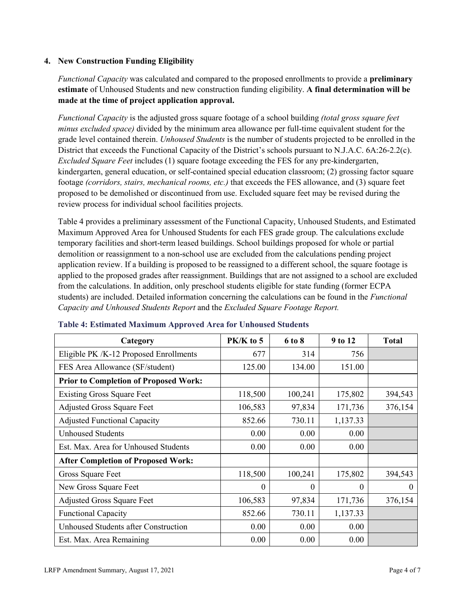## **4. New Construction Funding Eligibility**

*Functional Capacity* was calculated and compared to the proposed enrollments to provide a **preliminary estimate** of Unhoused Students and new construction funding eligibility. **A final determination will be made at the time of project application approval.**

*Functional Capacity* is the adjusted gross square footage of a school building *(total gross square feet minus excluded space)* divided by the minimum area allowance per full-time equivalent student for the grade level contained therein. *Unhoused Students* is the number of students projected to be enrolled in the District that exceeds the Functional Capacity of the District's schools pursuant to N.J.A.C. 6A:26-2.2(c). *Excluded Square Feet* includes (1) square footage exceeding the FES for any pre-kindergarten, kindergarten, general education, or self-contained special education classroom; (2) grossing factor square footage *(corridors, stairs, mechanical rooms, etc.)* that exceeds the FES allowance, and (3) square feet proposed to be demolished or discontinued from use. Excluded square feet may be revised during the review process for individual school facilities projects.

Table 4 provides a preliminary assessment of the Functional Capacity, Unhoused Students, and Estimated Maximum Approved Area for Unhoused Students for each FES grade group. The calculations exclude temporary facilities and short-term leased buildings. School buildings proposed for whole or partial demolition or reassignment to a non-school use are excluded from the calculations pending project application review. If a building is proposed to be reassigned to a different school, the square footage is applied to the proposed grades after reassignment. Buildings that are not assigned to a school are excluded from the calculations. In addition, only preschool students eligible for state funding (former ECPA students) are included. Detailed information concerning the calculations can be found in the *Functional Capacity and Unhoused Students Report* and the *Excluded Square Footage Report.*

| Category                                     | PK/K to 5 | 6 to 8  | 9 to 12  | <b>Total</b> |
|----------------------------------------------|-----------|---------|----------|--------------|
| Eligible PK /K-12 Proposed Enrollments       | 677       | 314     | 756      |              |
| FES Area Allowance (SF/student)              | 125.00    | 134.00  | 151.00   |              |
| <b>Prior to Completion of Proposed Work:</b> |           |         |          |              |
| <b>Existing Gross Square Feet</b>            | 118,500   | 100,241 | 175,802  | 394,543      |
| <b>Adjusted Gross Square Feet</b>            | 106,583   | 97,834  | 171,736  | 376,154      |
| <b>Adjusted Functional Capacity</b>          | 852.66    | 730.11  | 1,137.33 |              |
| <b>Unhoused Students</b>                     | 0.00      | 0.00    | 0.00     |              |
| Est. Max. Area for Unhoused Students         | 0.00      | 0.00    | 0.00     |              |
| <b>After Completion of Proposed Work:</b>    |           |         |          |              |
| Gross Square Feet                            | 118,500   | 100,241 | 175,802  | 394,543      |
| New Gross Square Feet                        | $\theta$  | 0       | $\theta$ | $\Omega$     |
| <b>Adjusted Gross Square Feet</b>            | 106,583   | 97,834  | 171,736  | 376,154      |
| <b>Functional Capacity</b>                   | 852.66    | 730.11  | 1,137.33 |              |
| Unhoused Students after Construction         | 0.00      | 0.00    | 0.00     |              |
| Est. Max. Area Remaining                     | 0.00      | 0.00    | 0.00     |              |

#### **Table 4: Estimated Maximum Approved Area for Unhoused Students**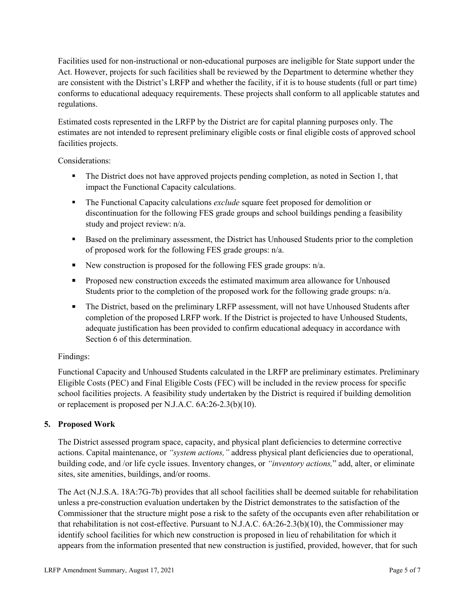Facilities used for non-instructional or non-educational purposes are ineligible for State support under the Act. However, projects for such facilities shall be reviewed by the Department to determine whether they are consistent with the District's LRFP and whether the facility, if it is to house students (full or part time) conforms to educational adequacy requirements. These projects shall conform to all applicable statutes and regulations.

Estimated costs represented in the LRFP by the District are for capital planning purposes only. The estimates are not intended to represent preliminary eligible costs or final eligible costs of approved school facilities projects.

Considerations:

- The District does not have approved projects pending completion, as noted in Section 1, that impact the Functional Capacity calculations.
- **The Functional Capacity calculations** *exclude* square feet proposed for demolition or discontinuation for the following FES grade groups and school buildings pending a feasibility study and project review: n/a.
- **Based on the preliminary assessment, the District has Unhoused Students prior to the completion** of proposed work for the following FES grade groups: n/a.
- New construction is proposed for the following FES grade groups: n/a.
- Proposed new construction exceeds the estimated maximum area allowance for Unhoused Students prior to the completion of the proposed work for the following grade groups: n/a.
- The District, based on the preliminary LRFP assessment, will not have Unhoused Students after completion of the proposed LRFP work. If the District is projected to have Unhoused Students, adequate justification has been provided to confirm educational adequacy in accordance with Section 6 of this determination.

## Findings:

Functional Capacity and Unhoused Students calculated in the LRFP are preliminary estimates. Preliminary Eligible Costs (PEC) and Final Eligible Costs (FEC) will be included in the review process for specific school facilities projects. A feasibility study undertaken by the District is required if building demolition or replacement is proposed per N.J.A.C. 6A:26-2.3(b)(10).

# **5. Proposed Work**

The District assessed program space, capacity, and physical plant deficiencies to determine corrective actions. Capital maintenance, or *"system actions,"* address physical plant deficiencies due to operational, building code, and /or life cycle issues. Inventory changes, or *"inventory actions,*" add, alter, or eliminate sites, site amenities, buildings, and/or rooms.

The Act (N.J.S.A. 18A:7G-7b) provides that all school facilities shall be deemed suitable for rehabilitation unless a pre-construction evaluation undertaken by the District demonstrates to the satisfaction of the Commissioner that the structure might pose a risk to the safety of the occupants even after rehabilitation or that rehabilitation is not cost-effective. Pursuant to N.J.A.C. 6A:26-2.3(b)(10), the Commissioner may identify school facilities for which new construction is proposed in lieu of rehabilitation for which it appears from the information presented that new construction is justified, provided, however, that for such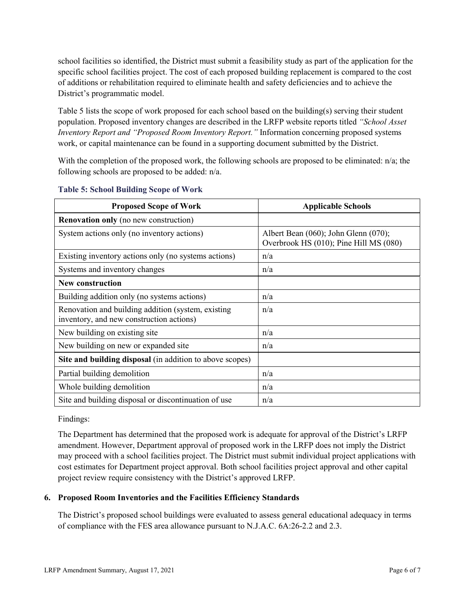school facilities so identified, the District must submit a feasibility study as part of the application for the specific school facilities project. The cost of each proposed building replacement is compared to the cost of additions or rehabilitation required to eliminate health and safety deficiencies and to achieve the District's programmatic model.

Table 5 lists the scope of work proposed for each school based on the building(s) serving their student population. Proposed inventory changes are described in the LRFP website reports titled *"School Asset Inventory Report and "Proposed Room Inventory Report."* Information concerning proposed systems work, or capital maintenance can be found in a supporting document submitted by the District.

With the completion of the proposed work, the following schools are proposed to be eliminated:  $n/a$ ; the following schools are proposed to be added: n/a.

| <b>Proposed Scope of Work</b>                                                                  | <b>Applicable Schools</b>                                                      |
|------------------------------------------------------------------------------------------------|--------------------------------------------------------------------------------|
| <b>Renovation only</b> (no new construction)                                                   |                                                                                |
| System actions only (no inventory actions)                                                     | Albert Bean (060); John Glenn (070);<br>Overbrook HS (010); Pine Hill MS (080) |
| Existing inventory actions only (no systems actions)                                           | n/a                                                                            |
| Systems and inventory changes                                                                  | n/a                                                                            |
| <b>New construction</b>                                                                        |                                                                                |
| Building addition only (no systems actions)                                                    | n/a                                                                            |
| Renovation and building addition (system, existing<br>inventory, and new construction actions) | n/a                                                                            |
| New building on existing site                                                                  | n/a                                                                            |
| New building on new or expanded site                                                           | n/a                                                                            |
| Site and building disposal (in addition to above scopes)                                       |                                                                                |
| Partial building demolition                                                                    | n/a                                                                            |
| Whole building demolition                                                                      | n/a                                                                            |
| Site and building disposal or discontinuation of use                                           | n/a                                                                            |

#### **Table 5: School Building Scope of Work**

Findings:

The Department has determined that the proposed work is adequate for approval of the District's LRFP amendment. However, Department approval of proposed work in the LRFP does not imply the District may proceed with a school facilities project. The District must submit individual project applications with cost estimates for Department project approval. Both school facilities project approval and other capital project review require consistency with the District's approved LRFP.

## **6. Proposed Room Inventories and the Facilities Efficiency Standards**

The District's proposed school buildings were evaluated to assess general educational adequacy in terms of compliance with the FES area allowance pursuant to N.J.A.C. 6A:26-2.2 and 2.3.